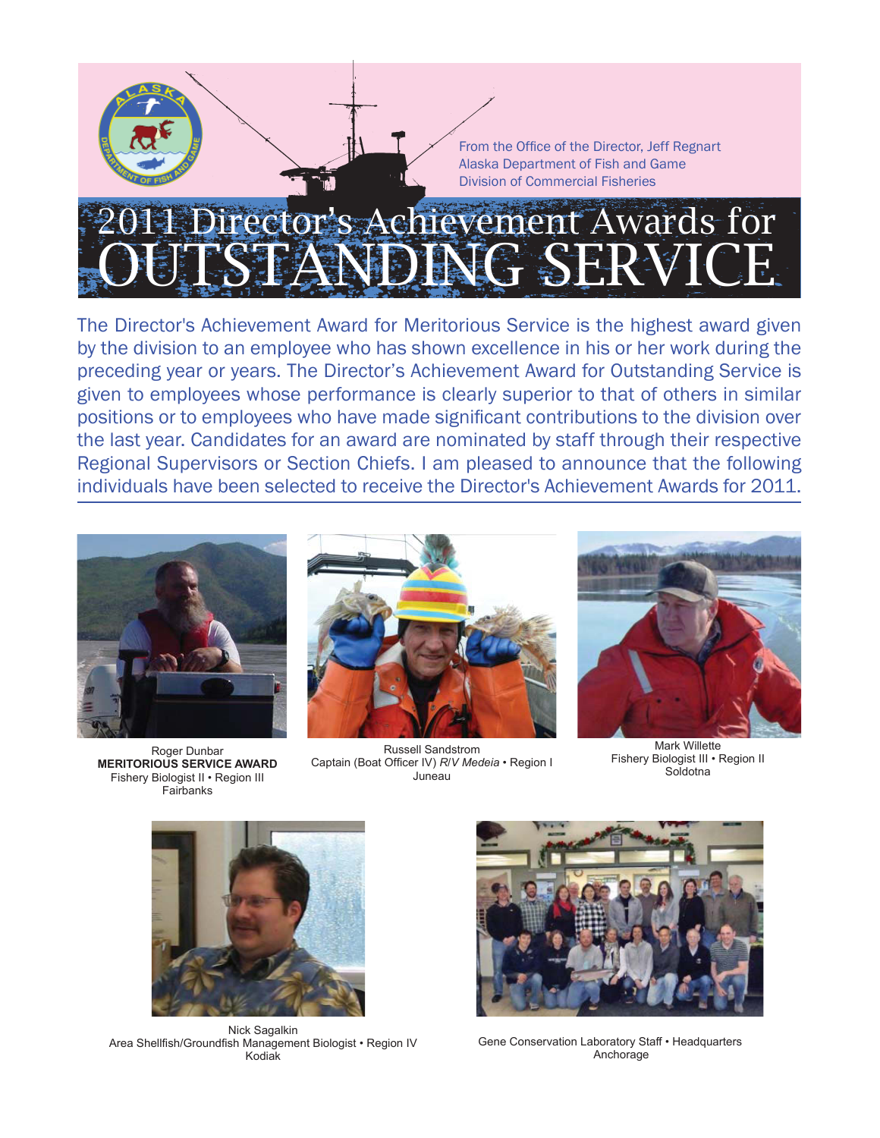# Director's Achievement Awards for OUTSTANDING SERVICE

The Director's Achievement Award for Meritorious Service is the highest award given by the division to an employee who has shown excellence in his or her work during the preceding year or years. The Director's Achievement Award for Outstanding Service is given to employees whose performance is clearly superior to that of others in similar positions or to employees who have made significant contributions to the division over the last year. Candidates for an award are nominated by staff through their respective Regional Supervisors or Section Chiefs. I am pleased to announce that the following individuals have been selected to receive the Director's Achievement Awards for 2011.



Fairbanks



Roger Dunbar<br>
Roger Dunbar Russell Sandstrom<br>
MERITORIOUS SERVICE AWARD Captain (Boat Officer IV) R/V Medeia • Region I Fishery Biologist III • Region II **MERITORIOUS SERVICE AWARD** Captain (Boat Offi cer IV) *R*/*<sup>V</sup> Medeia* • Region I Soldotna Fishery Biologist II • Region III Juneau





Nick Sagalkin Area Shellfish/Groundfish Management Biologist • Region IV Kodiak



Gene Conservation Laboratory Staff • Headquarters Anchorage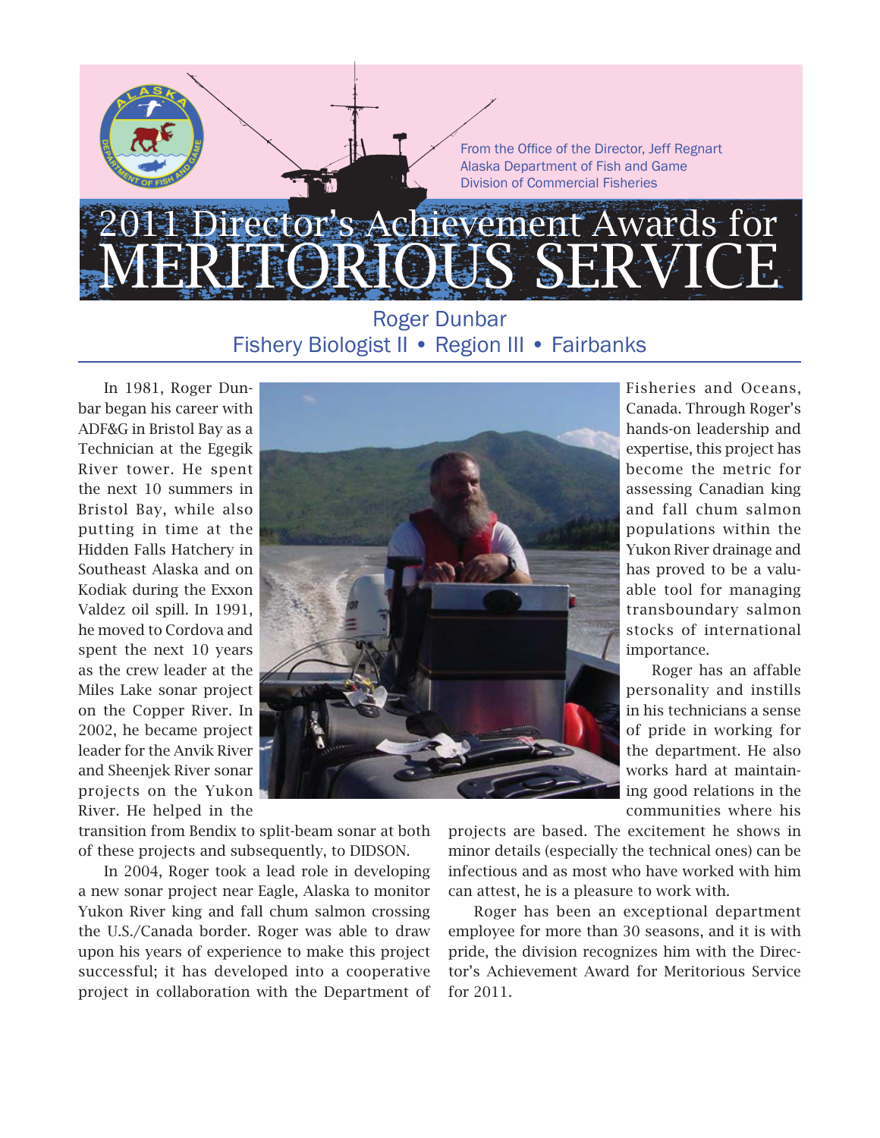### Director's Achievement Awards for MERITORIOUS SERVICE

#### Roger Dunbar Fishery Biologist II • Region III • Fairbanks

In 1981, Roger Dunbar began his career with ADF&G in Bristol Bay as a Technician at the Egegik River tower. He spent the next 10 summers in Bristol Bay, while also putting in time at the Hidden Falls Hatchery in Southeast Alaska and on Kodiak during the Exxon Valdez oil spill. In 1991, he moved to Cordova and spent the next 10 years as the crew leader at the Miles Lake sonar project on the Copper River. In 2002, he became project leader for the Anvik River and Sheenjek River sonar projects on the Yukon River. He helped in the



transition from Bendix to split-beam sonar at both of these projects and subsequently, to DIDSON.

In 2004, Roger took a lead role in developing a new sonar project near Eagle, Alaska to monitor Yukon River king and fall chum salmon crossing the U.S./Canada border. Roger was able to draw upon his years of experience to make this project successful; it has developed into a cooperative project in collaboration with the Department of Fisheries and Oceans, Canada. Through Roger's hands-on leadership and expertise, this project has become the metric for assessing Canadian king and fall chum salmon populations within the Yukon River drainage and has proved to be a valuable tool for managing transboundary salmon stocks of international importance.

Roger has an affable personality and instills in his technicians a sense of pride in working for the department. He also works hard at maintaining good relations in the communities where his

projects are based. The excitement he shows in minor details (especially the technical ones) can be infectious and as most who have worked with him can attest, he is a pleasure to work with.

Roger has been an exceptional department employee for more than 30 seasons, and it is with pride, the division recognizes him with the Director's Achievement Award for Meritorious Service for 2011.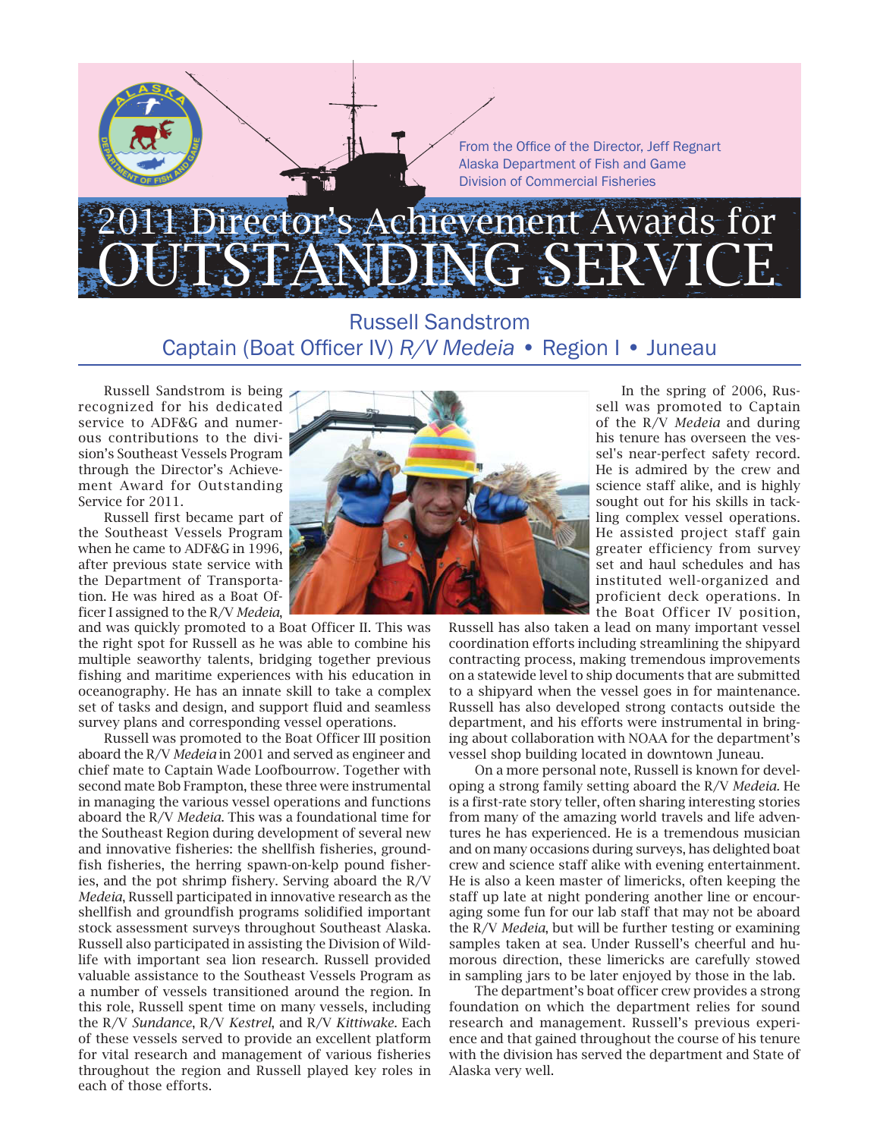# rector's Achievement Awards for OUTSTANDING SERVICE

Russell Sandstrom Captain (Boat Officer IV) *R/V Medeia* • Region I • Juneau

Russell Sandstrom is being recognized for his dedicated service to ADF&G and numerous contributions to the division's Southeast Vessels Program through the Director's Achievement Award for Outstanding Service for 2011.

Russell first became part of the Southeast Vessels Program when he came to ADF&G in 1996, after previous state service with the Department of Transportation. He was hired as a Boat Officer I assigned to the R/V *Medeia*,

and was quickly promoted to a Boat Officer II. This was the right spot for Russell as he was able to combine his multiple seaworthy talents, bridging together previous fishing and maritime experiences with his education in oceanography. He has an innate skill to take a complex set of tasks and design, and support fluid and seamless survey plans and corresponding vessel operations.

Russell was promoted to the Boat Officer III position aboard the R/V *Medeia* in 2001 and served as engineer and chief mate to Captain Wade Loofbourrow. Together with second mate Bob Frampton, these three were instrumental in managing the various vessel operations and functions aboard the R/V *Medeia*. This was a foundational time for the Southeast Region during development of several new and innovative fisheries: the shellfish fisheries, groundfish fisheries, the herring spawn-on-kelp pound fisheries, and the pot shrimp fishery. Serving aboard the R/V *Medeia*, Russell participated in innovative research as the shellfish and groundfish programs solidified important stock assessment surveys throughout Southeast Alaska. Russell also participated in assisting the Division of Wildlife with important sea lion research. Russell provided valuable assistance to the Southeast Vessels Program as a number of vessels transitioned around the region. In this role, Russell spent time on many vessels, including the R/V *Sundance*, R/V *Kestrel*, and R/V *Kittiwake*. Each of these vessels served to provide an excellent platform for vital research and management of various fisheries throughout the region and Russell played key roles in each of those efforts.



In the spring of 2006, Russell was promoted to Captain of the R/V *Medeia* and during his tenure has overseen the vessel's near-perfect safety record. He is admired by the crew and science staff alike, and is highly sought out for his skills in tackling complex vessel operations. He assisted project staff gain greater efficiency from survey set and haul schedules and has instituted well-organized and proficient deck operations. In the Boat Officer IV position,

Russell has also taken a lead on many important vessel coordination efforts including streamlining the shipyard contracting process, making tremendous improvements on a statewide level to ship documents that are submitted to a shipyard when the vessel goes in for maintenance. Russell has also developed strong contacts outside the department, and his efforts were instrumental in bringing about collaboration with NOAA for the department's vessel shop building located in downtown Juneau.

On a more personal note, Russell is known for developing a strong family setting aboard the R/V *Medeia.* He is a first-rate story teller, often sharing interesting stories from many of the amazing world travels and life adventures he has experienced. He is a tremendous musician and on many occasions during surveys, has delighted boat crew and science staff alike with evening entertainment. He is also a keen master of limericks, often keeping the staff up late at night pondering another line or encouraging some fun for our lab staff that may not be aboard the R/V *Medeia*, but will be further testing or examining samples taken at sea. Under Russell's cheerful and humorous direction, these limericks are carefully stowed in sampling jars to be later enjoyed by those in the lab.

The department's boat officer crew provides a strong foundation on which the department relies for sound research and management. Russell's previous experience and that gained throughout the course of his tenure with the division has served the department and State of Alaska very well.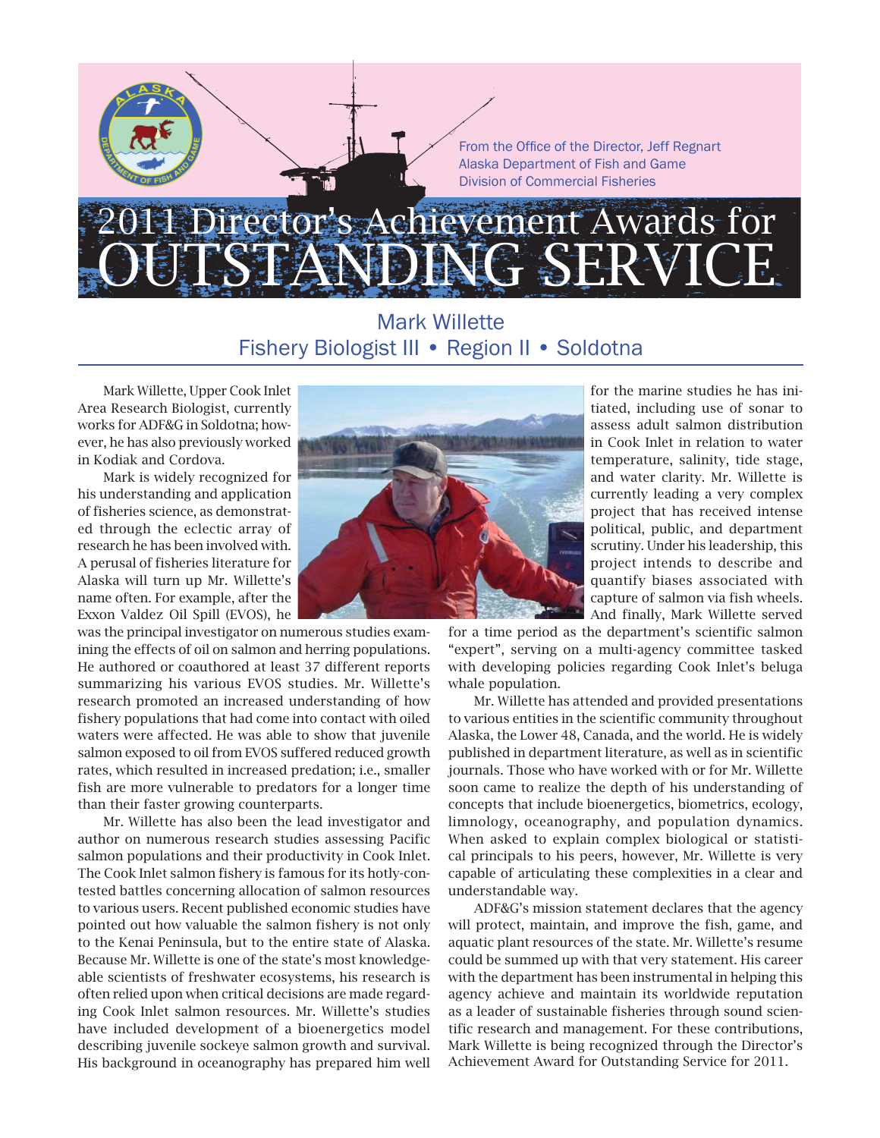### Director's Achievement Awards for SERVICE

#### Mark Willette Fishery Biologist III • Region II • Soldotna

Mark Willette, Upper Cook Inlet Area Research Biologist, currently works for ADF&G in Soldotna; however, he has also previously worked in Kodiak and Cordova.

Mark is widely recognized for his understanding and application of fisheries science, as demonstrated through the eclectic array of research he has been involved with. A perusal of fisheries literature for Alaska will turn up Mr. Willette's name often. For example, after the Exxon Valdez Oil Spill (EVOS), he

was the principal investigator on numerous studies examining the effects of oil on salmon and herring populations. He authored or coauthored at least 37 different reports summarizing his various EVOS studies. Mr. Willette's research promoted an increased understanding of how fishery populations that had come into contact with oiled waters were affected. He was able to show that juvenile salmon exposed to oil from EVOS suffered reduced growth rates, which resulted in increased predation; i.e., smaller fish are more vulnerable to predators for a longer time than their faster growing counterparts.

Mr. Willette has also been the lead investigator and author on numerous research studies assessing Pacific salmon populations and their productivity in Cook Inlet. The Cook Inlet salmon fishery is famous for its hotly-contested battles concerning allocation of salmon resources to various users. Recent published economic studies have pointed out how valuable the salmon fishery is not only to the Kenai Peninsula, but to the entire state of Alaska. Because Mr. Willette is one of the state's most knowledgeable scientists of freshwater ecosystems, his research is often relied upon when critical decisions are made regarding Cook Inlet salmon resources. Mr. Willette's studies have included development of a bioenergetics model describing juvenile sockeye salmon growth and survival. His background in oceanography has prepared him well



for the marine studies he has initiated, including use of sonar to assess adult salmon distribution in Cook Inlet in relation to water temperature, salinity, tide stage, and water clarity. Mr. Willette is currently leading a very complex project that has received intense political, public, and department scrutiny. Under his leadership, this project intends to describe and quantify biases associated with capture of salmon via fish wheels. And finally, Mark Willette served

for a time period as the department's scientific salmon "expert", serving on a multi-agency committee tasked with developing policies regarding Cook Inlet's beluga whale population.

Mr. Willette has attended and provided presentations to various entities in the scientific community throughout Alaska, the Lower 48, Canada, and the world. He is widely published in department literature, as well as in scientific journals. Those who have worked with or for Mr. Willette soon came to realize the depth of his understanding of concepts that include bioenergetics, biometrics, ecology, limnology, oceanography, and population dynamics. When asked to explain complex biological or statistical principals to his peers, however, Mr. Willette is very capable of articulating these complexities in a clear and understandable way.

ADF&G's mission statement declares that the agency will protect, maintain, and improve the fish, game, and aquatic plant resources of the state. Mr. Willette's resume could be summed up with that very statement. His career with the department has been instrumental in helping this agency achieve and maintain its worldwide reputation as a leader of sustainable fisheries through sound scientific research and management. For these contributions, Mark Willette is being recognized through the Director's Achievement Award for Outstanding Service for 2011.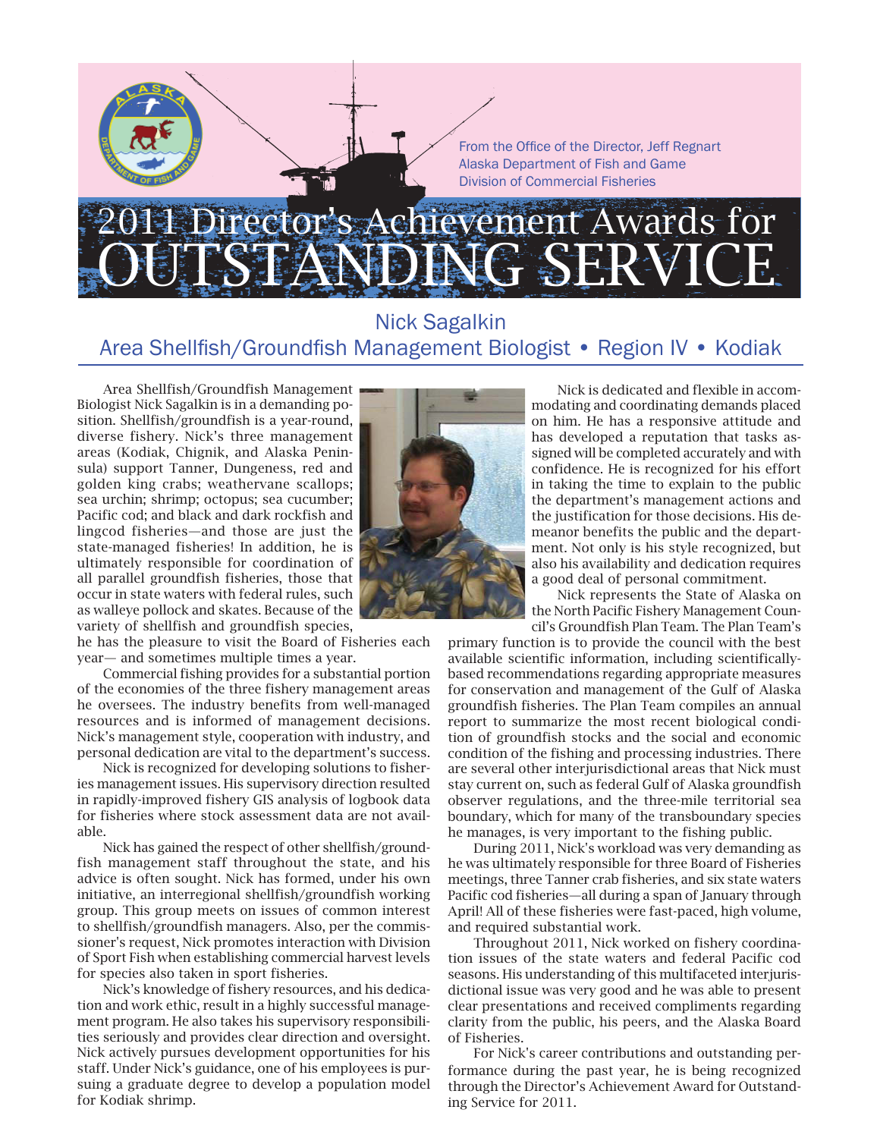# Director's Achievement Awards for OUTSTANDING SERVICE

#### Nick Sagalkin Area Shellfish/Groundfish Management Biologist • Region IV • Kodiak

Area Shellfish/Groundfish Management Biologist Nick Sagalkin is in a demanding position. Shellfish/groundfish is a year-round, diverse fishery. Nick's three management areas (Kodiak, Chignik, and Alaska Peninsula) support Tanner, Dungeness, red and golden king crabs; weathervane scallops; sea urchin; shrimp; octopus; sea cucumber; Pacific cod; and black and dark rockfish and lingcod fisheries—and those are just the state-managed fisheries! In addition, he is ultimately responsible for coordination of all parallel groundfish fisheries, those that occur in state waters with federal rules, such as walleye pollock and skates. Because of the variety of shellfish and groundfish species,

he has the pleasure to visit the Board of Fisheries each year— and sometimes multiple times a year.

Commercial fishing provides for a substantial portion of the economies of the three fishery management areas he oversees. The industry benefits from well-managed resources and is informed of management decisions. Nick's management style, cooperation with industry, and personal dedication are vital to the department's success.

Nick is recognized for developing solutions to fisheries management issues. His supervisory direction resulted in rapidly-improved fishery GIS analysis of logbook data for fisheries where stock assessment data are not available.

Nick has gained the respect of other shellfish/groundfish management staff throughout the state, and his advice is often sought. Nick has formed, under his own initiative, an interregional shellfish/groundfish working group. This group meets on issues of common interest to shellfish/groundfish managers. Also, per the commissioner's request, Nick promotes interaction with Division of Sport Fish when establishing commercial harvest levels for species also taken in sport fisheries.

Nick's knowledge of fishery resources, and his dedication and work ethic, result in a highly successful management program. He also takes his supervisory responsibilities seriously and provides clear direction and oversight. Nick actively pursues development opportunities for his staff. Under Nick's guidance, one of his employees is pursuing a graduate degree to develop a population model for Kodiak shrimp.



Nick is dedicated and flexible in accommodating and coordinating demands placed on him. He has a responsive attitude and has developed a reputation that tasks assigned will be completed accurately and with confidence. He is recognized for his effort in taking the time to explain to the public the department's management actions and the justification for those decisions. His demeanor benefits the public and the department. Not only is his style recognized, but also his availability and dedication requires a good deal of personal commitment.

Nick represents the State of Alaska on the North Pacific Fishery Management Council's Groundfish Plan Team. The Plan Team's

primary function is to provide the council with the best available scientific information, including scientificallybased recommendations regarding appropriate measures for conservation and management of the Gulf of Alaska groundfish fisheries. The Plan Team compiles an annual report to summarize the most recent biological condition of groundfish stocks and the social and economic condition of the fishing and processing industries. There are several other interjurisdictional areas that Nick must stay current on, such as federal Gulf of Alaska groundfish observer regulations, and the three-mile territorial sea boundary, which for many of the transboundary species he manages, is very important to the fishing public.

During 2011, Nick's workload was very demanding as he was ultimately responsible for three Board of Fisheries meetings, three Tanner crab fisheries, and six state waters Pacific cod fisheries—all during a span of January through April! All of these fisheries were fast-paced, high volume, and required substantial work.

Throughout 2011, Nick worked on fishery coordination issues of the state waters and federal Pacific cod seasons. His understanding of this multifaceted interjurisdictional issue was very good and he was able to present clear presentations and received compliments regarding clarity from the public, his peers, and the Alaska Board of Fisheries.

For Nick's career contributions and outstanding performance during the past year, he is being recognized through the Director's Achievement Award for Outstanding Service for 2011.